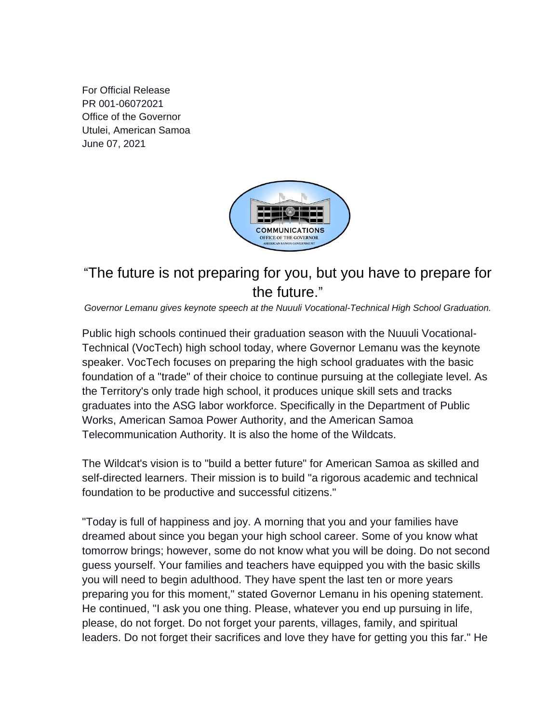For Official Release PR 001-06072021 Office of the Governor Utulei, American Samoa June 07, 2021



## "The future is not preparing for you, but you have to prepare for the future."

*Governor Lemanu gives keynote speech at the Nuuuli Vocational-Technical High School Graduation.*

Public high schools continued their graduation season with the Nuuuli Vocational-Technical (VocTech) high school today, where Governor Lemanu was the keynote speaker. VocTech focuses on preparing the high school graduates with the basic foundation of a "trade" of their choice to continue pursuing at the collegiate level. As the Territory's only trade high school, it produces unique skill sets and tracks graduates into the ASG labor workforce. Specifically in the Department of Public Works, American Samoa Power Authority, and the American Samoa Telecommunication Authority. It is also the home of the Wildcats.

The Wildcat's vision is to "build a better future" for American Samoa as skilled and self-directed learners. Their mission is to build "a rigorous academic and technical foundation to be productive and successful citizens."

"Today is full of happiness and joy. A morning that you and your families have dreamed about since you began your high school career. Some of you know what tomorrow brings; however, some do not know what you will be doing. Do not second guess yourself. Your families and teachers have equipped you with the basic skills you will need to begin adulthood. They have spent the last ten or more years preparing you for this moment," stated Governor Lemanu in his opening statement. He continued, "I ask you one thing. Please, whatever you end up pursuing in life, please, do not forget. Do not forget your parents, villages, family, and spiritual leaders. Do not forget their sacrifices and love they have for getting you this far." He